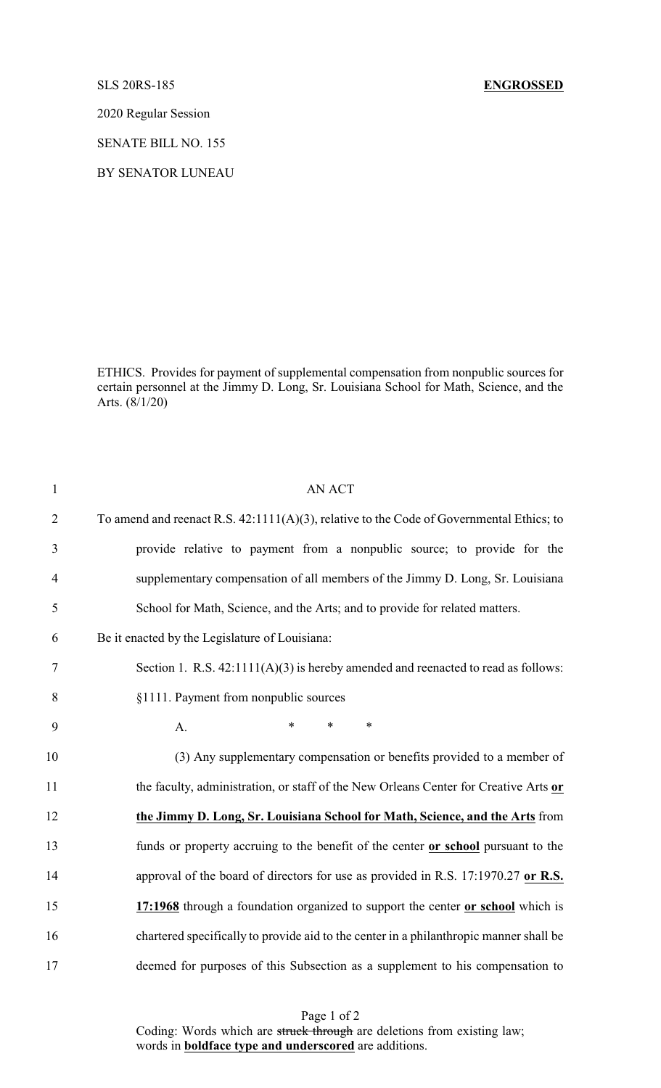## SLS 20RS-185 **ENGROSSED**

2020 Regular Session

SENATE BILL NO. 155

BY SENATOR LUNEAU

ETHICS. Provides for payment of supplemental compensation from nonpublic sources for certain personnel at the Jimmy D. Long, Sr. Louisiana School for Math, Science, and the Arts. (8/1/20)

| $\mathbf{1}$             | <b>AN ACT</b>                                                                            |
|--------------------------|------------------------------------------------------------------------------------------|
| $\overline{2}$           | To amend and reenact R.S. 42:1111(A)(3), relative to the Code of Governmental Ethics; to |
| 3                        | provide relative to payment from a nonpublic source; to provide for the                  |
| $\overline{\mathcal{A}}$ | supplementary compensation of all members of the Jimmy D. Long, Sr. Louisiana            |
| 5                        | School for Math, Science, and the Arts; and to provide for related matters.              |
| 6                        | Be it enacted by the Legislature of Louisiana:                                           |
| $\tau$                   | Section 1. R.S. $42:1111(A)(3)$ is hereby amended and reenacted to read as follows:      |
| 8                        | §1111. Payment from nonpublic sources                                                    |
| 9                        | *<br>$\ast$<br>$\ast$<br>A.                                                              |
| 10                       | (3) Any supplementary compensation or benefits provided to a member of                   |
| 11                       | the faculty, administration, or staff of the New Orleans Center for Creative Arts or     |
| 12                       | the Jimmy D. Long, Sr. Louisiana School for Math, Science, and the Arts from             |
| 13                       | funds or property accruing to the benefit of the center or school pursuant to the        |
| 14                       | approval of the board of directors for use as provided in R.S. 17:1970.27 or R.S.        |
| 15                       | 17:1968 through a foundation organized to support the center or school which is          |
| 16                       | chartered specifically to provide aid to the center in a philanthropic manner shall be   |
| 17                       | deemed for purposes of this Subsection as a supplement to his compensation to            |
|                          |                                                                                          |

Page 1 of 2 Coding: Words which are struck through are deletions from existing law; words in **boldface type and underscored** are additions.